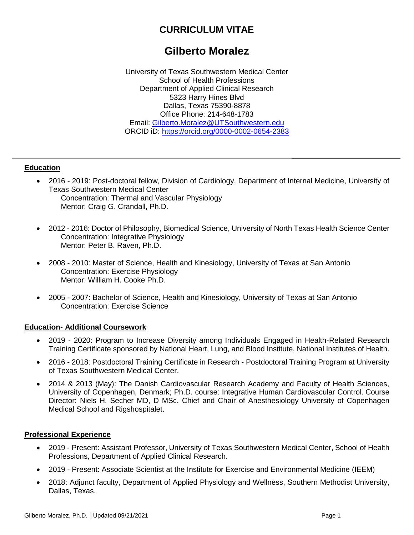## **CURRICULUM VITAE**

# **Gilberto Moralez**

University of Texas Southwestern Medical Center School of Health Professions Department of Applied Clinical Research 5323 Harry Hines Blvd Dallas, Texas 75390-8878 Office Phone: 214-648-1783 Email: [Gilberto.Moralez@UTSouthwestern.edu](mailto:Gilberto.Moralez@UTSouthwestern.edu) ORCID iD:<https://orcid.org/0000-0002-0654-2383>

#### **Education**

- 2016 2019: Post-doctoral fellow, Division of Cardiology, Department of Internal Medicine, University of Texas Southwestern Medical Center Concentration: Thermal and Vascular Physiology Mentor: Craig G. Crandall, Ph.D.
- 2012 2016: Doctor of Philosophy, Biomedical Science, University of North Texas Health Science Center Concentration: Integrative Physiology Mentor: Peter B. Raven, Ph.D.
- 2008 2010: Master of Science, Health and Kinesiology, University of Texas at San Antonio Concentration: Exercise Physiology Mentor: William H. Cooke Ph.D.
- 2005 2007: Bachelor of Science, Health and Kinesiology, University of Texas at San Antonio Concentration: Exercise Science

#### **Education- Additional Coursework**

- 2019 2020: Program to Increase Diversity among Individuals Engaged in Health-Related Research Training Certificate sponsored by National Heart, Lung, and Blood Institute, National Institutes of Health.
- 2016 2018: Postdoctoral Training Certificate in Research Postdoctoral Training Program at University of Texas Southwestern Medical Center.
- 2014 & 2013 (May): The Danish Cardiovascular Research Academy and Faculty of Health Sciences, University of Copenhagen, Denmark; Ph.D. course: Integrative Human Cardiovascular Control. Course Director: Niels H. Secher MD, D MSc. Chief and Chair of Anesthesiology University of Copenhagen Medical School and Rigshospitalet.

#### **Professional Experience**

- 2019 Present: Assistant Professor, University of Texas Southwestern Medical Center, School of Health Professions, Department of Applied Clinical Research.
- 2019 Present: Associate Scientist at the Institute for Exercise and Environmental Medicine (IEEM)
- 2018: Adjunct faculty, Department of Applied Physiology and Wellness, Southern Methodist University, Dallas, Texas.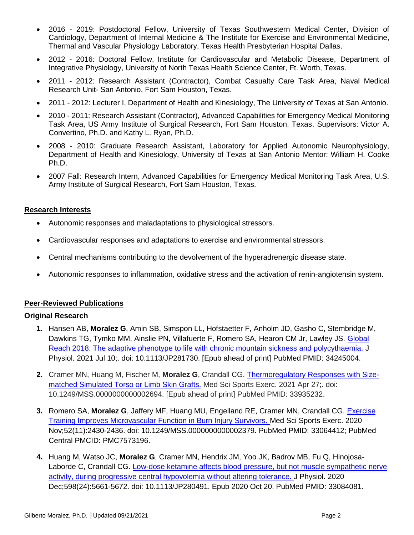- 2016 2019: Postdoctoral Fellow, University of Texas Southwestern Medical Center, Division of Cardiology, Department of Internal Medicine & The Institute for Exercise and Environmental Medicine, Thermal and Vascular Physiology Laboratory, Texas Health Presbyterian Hospital Dallas.
- 2012 2016: Doctoral Fellow, Institute for Cardiovascular and Metabolic Disease, Department of Integrative Physiology, University of North Texas Health Science Center, Ft. Worth, Texas.
- 2011 2012: Research Assistant (Contractor), Combat Casualty Care Task Area, Naval Medical Research Unit- San Antonio, Fort Sam Houston, Texas.
- 2011 2012: Lecturer I, Department of Health and Kinesiology, The University of Texas at San Antonio.
- 2010 2011: Research Assistant (Contractor), Advanced Capabilities for Emergency Medical Monitoring Task Area, US Army Institute of Surgical Research, Fort Sam Houston, Texas. Supervisors: Victor A. Convertino, Ph.D. and Kathy L. Ryan, Ph.D.
- 2008 2010: Graduate Research Assistant, Laboratory for Applied Autonomic Neurophysiology, Department of Health and Kinesiology, University of Texas at San Antonio Mentor: William H. Cooke Ph.D.
- 2007 Fall: Research Intern, Advanced Capabilities for Emergency Medical Monitoring Task Area, U.S. Army Institute of Surgical Research, Fort Sam Houston, Texas.

#### **Research Interests**

- Autonomic responses and maladaptations to physiological stressors.
- Cardiovascular responses and adaptations to exercise and environmental stressors.
- Central mechanisms contributing to the devolvement of the hyperadrenergic disease state.
- Autonomic responses to inflammation, oxidative stress and the activation of renin-angiotensin system.

#### **Peer-Reviewed Publications**

#### **Original Research**

- **1.** Hansen AB, **Moralez G**, Amin SB, Simspon LL, Hofstaetter F, Anholm JD, Gasho C, Stembridge M, Dawkins TG, Tymko MM, Ainslie PN, Villafuerte F, Romero SA, Hearon CM Jr, Lawley JS. Global [Reach 2018: The adaptive phenotype to life with chronic mountain sickness and polycythaemia.](https://www.ncbi.nlm.nih.gov/pubmed/34245004/) J Physiol. 2021 Jul 10;. doi: 10.1113/JP281730. [Epub ahead of print] PubMed PMID: 34245004.
- **2.** Cramer MN, Huang M, Fischer M, **Moralez G**, Crandall CG. [Thermoregulatory Responses with Size](https://pubmed.ncbi.nlm.nih.gov/33935232/)[matched Simulated Torso or Limb Skin Grafts.](https://pubmed.ncbi.nlm.nih.gov/33935232/) Med Sci Sports Exerc. 2021 Apr 27;. doi: 10.1249/MSS.0000000000002694. [Epub ahead of print] PubMed PMID: 33935232.
- **3.** Romero SA, **Moralez G**, Jaffery MF, Huang MU, Engelland RE, Cramer MN, Crandall CG. [Exercise](https://www.ncbi.nlm.nih.gov/pubmed/33064412/)  [Training Improves Microvascular Function in Burn Injury Survivors.](https://www.ncbi.nlm.nih.gov/pubmed/33064412/) Med Sci Sports Exerc. 2020 Nov;52(11):2430-2436. doi: 10.1249/MSS.0000000000002379. PubMed PMID: 33064412; PubMed Central PMCID: PMC7573196.
- **4.** Huang M, Watso JC, **Moralez G**, Cramer MN, Hendrix JM, Yoo JK, Badrov MB, Fu Q, Hinojosa-Laborde C, Crandall CG. [Low-dose ketamine affects blood pressure, but not muscle sympathetic nerve](https://www.ncbi.nlm.nih.gov/pubmed/33084081/)  activity, during [progressive central hypovolemia without altering tolerance.](https://www.ncbi.nlm.nih.gov/pubmed/33084081/) J Physiol. 2020 Dec;598(24):5661-5672. doi: 10.1113/JP280491. Epub 2020 Oct 20. PubMed PMID: 33084081.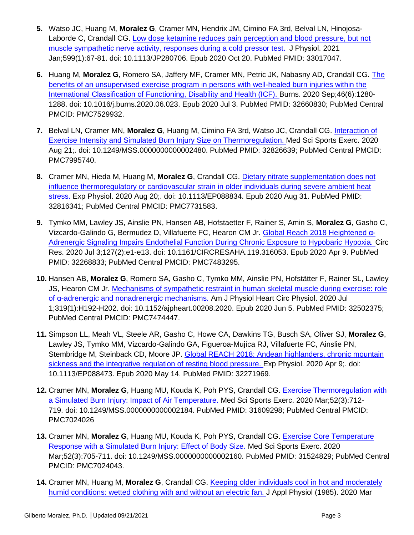- **5.** Watso JC, Huang M, **Moralez G**, Cramer MN, Hendrix JM, Cimino FA 3rd, Belval LN, Hinojosa-Laborde C, Crandall CG. [Low dose ketamine reduces pain perception and blood pressure, but not](https://www.ncbi.nlm.nih.gov/pubmed/33017047/)  [muscle sympathetic nerve activity, responses during a cold pressor test.](https://www.ncbi.nlm.nih.gov/pubmed/33017047/) J Physiol. 2021 Jan;599(1):67-81. doi: 10.1113/JP280706. Epub 2020 Oct 20. PubMed PMID: 33017047.
- **6.** Huang M, **Moralez G**, Romero SA, Jaffery MF, Cramer MN, Petric JK, Nabasny AD, Crandall CG. [The](https://www.ncbi.nlm.nih.gov/pubmed/32660830/)  [benefits of an unsupervised exercise program in persons with well-healed burn injuries within the](https://www.ncbi.nlm.nih.gov/pubmed/32660830/)  [International Classification of Functioning, Disability and Health \(ICF\).](https://www.ncbi.nlm.nih.gov/pubmed/32660830/) Burns. 2020 Sep;46(6):1280- 1288. doi: 10.1016/j.burns.2020.06.023. Epub 2020 Jul 3. PubMed PMID: 32660830; PubMed Central PMCID: PMC7529932.
- **7.** Belval LN, Cramer MN, **Moralez G**, Huang M, Cimino FA 3rd, Watso JC, Crandall CG. [Interaction of](https://www.ncbi.nlm.nih.gov/pubmed/32826639/)  [Exercise Intensity and Simulated Burn Injury Size on Thermoregulation.](https://www.ncbi.nlm.nih.gov/pubmed/32826639/) Med Sci Sports Exerc. 2020 Aug 21;. doi: 10.1249/MSS.0000000000002480. PubMed PMID: 32826639; PubMed Central PMCID: PMC7995740.
- **8.** Cramer MN, Hieda M, Huang M, **Moralez G**, Crandall CG. [Dietary nitrate supplementation does not](https://www.ncbi.nlm.nih.gov/pubmed/32816341/)  [influence thermoregulatory or cardiovascular strain in older individuals during severe ambient heat](https://www.ncbi.nlm.nih.gov/pubmed/32816341/)  [stress.](https://www.ncbi.nlm.nih.gov/pubmed/32816341/) Exp Physiol. 2020 Aug 20;. doi: 10.1113/EP088834. Epub 2020 Aug 31. PubMed PMID: 32816341; PubMed Central PMCID: PMC7731583.
- **9.** Tymko MM, Lawley JS, Ainslie PN, Hansen AB, Hofstaetter F, Rainer S, Amin S, **Moralez G**, Gasho C, Vizcardo-Galindo G, Bermudez D, Villafuerte FC, Hearon CM Jr. [Global Reach 2018 Heightened α-](https://www.ncbi.nlm.nih.gov/pubmed/32268833/)[Adrenergic Signaling Impairs Endothelial Function During Chronic Exposure to Hypobaric Hypoxia.](https://www.ncbi.nlm.nih.gov/pubmed/32268833/) Circ Res. 2020 Jul 3;127(2):e1-e13. doi: 10.1161/CIRCRESAHA.119.316053. Epub 2020 Apr 9. PubMed PMID: 32268833; PubMed Central PMCID: PMC7483295.
- **10.** Hansen AB, **Moralez G**, Romero SA, Gasho C, Tymko MM, Ainslie PN, Hofstätter F, Rainer SL, Lawley JS, Hearon CM Jr. [Mechanisms of sympathetic restraint in human skeletal muscle during exercise: role](https://www.ncbi.nlm.nih.gov/pubmed/32502375/)  [of α-adrenergic and nonadrenergic mechanisms.](https://www.ncbi.nlm.nih.gov/pubmed/32502375/) Am J Physiol Heart Circ Physiol. 2020 Jul 1;319(1):H192-H202. doi: 10.1152/ajpheart.00208.2020. Epub 2020 Jun 5. PubMed PMID: 32502375; PubMed Central PMCID: PMC7474447.
- **11.** Simpson LL, Meah VL, Steele AR, Gasho C, Howe CA, Dawkins TG, Busch SA, Oliver SJ, **Moralez G**, Lawley JS, Tymko MM, Vizcardo-Galindo GA, Figueroa-Mujíca RJ, Villafuerte FC, Ainslie PN, Stembridge M, Steinback CD, Moore JP. Global REACH [2018: Andean highlanders, chronic mountain](https://www.ncbi.nlm.nih.gov/pubmed/32271969/)  [sickness and the integrative regulation of resting blood pressure.](https://www.ncbi.nlm.nih.gov/pubmed/32271969/) Exp Physiol. 2020 Apr 9;. doi: 10.1113/EP088473. Epub 2020 May 14. PubMed PMID: 32271969.
- **12.** Cramer MN, **Moralez G**, Huang MU, Kouda K, Poh PYS, Crandall CG. [Exercise Thermoregulation with](https://www.ncbi.nlm.nih.gov/pubmed/31609298/)  [a Simulated Burn Injury: Impact of Air Temperature.](https://www.ncbi.nlm.nih.gov/pubmed/31609298/) Med Sci Sports Exerc. 2020 Mar;52(3):712- 719. doi: 10.1249/MSS.0000000000002184. PubMed PMID: 31609298; PubMed Central PMCID: PMC7024026
- **13.** Cramer MN, **Moralez G**, Huang MU, Kouda K, Poh PYS, Crandall CG. [Exercise Core Temperature](https://www.ncbi.nlm.nih.gov/pubmed/31524829/)  [Response with a Simulated Burn Injury: Effect of Body Size.](https://www.ncbi.nlm.nih.gov/pubmed/31524829/) Med Sci Sports Exerc. 2020 Mar;52(3):705-711. doi: 10.1249/MSS.0000000000002160. PubMed PMID: 31524829; PubMed Central PMCID: PMC7024043.
- **14.** Cramer MN, Huang M, **Moralez G**, Crandall CG. [Keeping older individuals cool in hot and moderately](https://www.ncbi.nlm.nih.gov/pubmed/32027545/)  [humid conditions: wetted clothing with and without an electric fan.](https://www.ncbi.nlm.nih.gov/pubmed/32027545/) J Appl Physiol (1985). 2020 Mar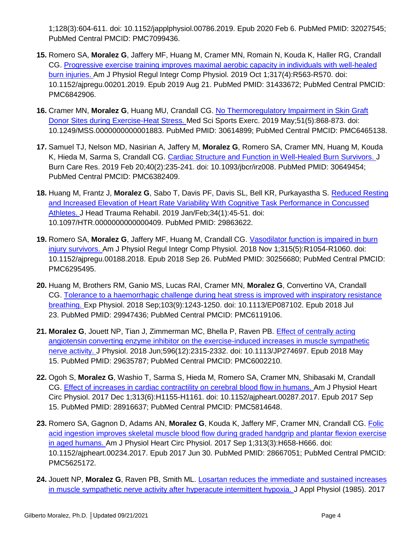1;128(3):604-611. doi: 10.1152/japplphysiol.00786.2019. Epub 2020 Feb 6. PubMed PMID: 32027545; PubMed Central PMCID: PMC7099436.

- **15.** Romero SA, **Moralez G**, Jaffery MF, Huang M, Cramer MN, Romain N, Kouda K, Haller RG, Crandall CG. [Progressive exercise training improves maximal aerobic capacity in individuals with well-healed](https://www.ncbi.nlm.nih.gov/pubmed/31433672/)  [burn injuries.](https://www.ncbi.nlm.nih.gov/pubmed/31433672/) Am J Physiol Regul Integr Comp Physiol. 2019 Oct 1;317(4):R563-R570. doi: 10.1152/ajpregu.00201.2019. Epub 2019 Aug 21. PubMed PMID: 31433672; PubMed Central PMCID: PMC6842906.
- **16.** Cramer MN, **Moralez G**, Huang MU, Crandall CG. [No Thermoregulatory Impairment in Skin Graft](https://www.ncbi.nlm.nih.gov/pubmed/30614899/)  [Donor Sites during Exercise-Heat Stress.](https://www.ncbi.nlm.nih.gov/pubmed/30614899/) Med Sci Sports Exerc. 2019 May;51(5):868-873. doi: 10.1249/MSS.0000000000001883. PubMed PMID: 30614899; PubMed Central PMCID: PMC6465138.
- **17.** Samuel TJ, Nelson MD, Nasirian A, Jaffery M, **Moralez G**, Romero SA, Cramer MN, Huang M, Kouda K, Hieda M, Sarma S, Crandall CG. [Cardiac Structure and Function in Well-Healed Burn Survivors.](https://www.ncbi.nlm.nih.gov/pubmed/30649454/) J Burn Care Res. 2019 Feb 20;40(2):235-241. doi: 10.1093/jbcr/irz008. PubMed PMID: 30649454; PubMed Central PMCID: PMC6382409.
- **18.** Huang M, Frantz J, **Moralez G**, Sabo T, Davis PF, Davis SL, Bell KR, Purkayastha S. [Reduced Resting](https://www.ncbi.nlm.nih.gov/pubmed/29863622/)  [and Increased Elevation of Heart Rate Variability With Cognitive Task Performance in Concussed](https://www.ncbi.nlm.nih.gov/pubmed/29863622/)  [Athletes.](https://www.ncbi.nlm.nih.gov/pubmed/29863622/) J Head Trauma Rehabil. 2019 Jan/Feb;34(1):45-51. doi: 10.1097/HTR.0000000000000409. PubMed PMID: 29863622.
- **19.** Romero SA, **Moralez G**, Jaffery MF, Huang M, Crandall CG. [Vasodilator function is impaired in burn](https://www.ncbi.nlm.nih.gov/pubmed/30256680/)  [injury survivors.](https://www.ncbi.nlm.nih.gov/pubmed/30256680/) Am J Physiol Regul Integr Comp Physiol. 2018 Nov 1;315(5):R1054-R1060. doi: 10.1152/ajpregu.00188.2018. Epub 2018 Sep 26. PubMed PMID: 30256680; PubMed Central PMCID: PMC6295495.
- **20.** Huang M, Brothers RM, Ganio MS, Lucas RAI, Cramer MN, **Moralez G**, Convertino VA, Crandall CG. [Tolerance to a haemorrhagic challenge during heat stress is improved with inspiratory resistance](https://www.ncbi.nlm.nih.gov/pubmed/29947436/)  [breathing.](https://www.ncbi.nlm.nih.gov/pubmed/29947436/) Exp Physiol. 2018 Sep;103(9):1243-1250. doi: 10.1113/EP087102. Epub 2018 Jul 23. PubMed PMID: 29947436; PubMed Central PMCID: PMC6119106.
- **21. Moralez G**, Jouett NP, Tian J, Zimmerman MC, Bhella P, Raven PB. [Effect of centrally acting](https://www.ncbi.nlm.nih.gov/pubmed/29635787/)  [angiotensin converting enzyme inhibitor on the exercise-induced increases in muscle sympathetic](https://www.ncbi.nlm.nih.gov/pubmed/29635787/)  [nerve activity.](https://www.ncbi.nlm.nih.gov/pubmed/29635787/) J Physiol. 2018 Jun;596(12):2315-2332. doi: 10.1113/JP274697. Epub 2018 May 15. PubMed PMID: 29635787; PubMed Central PMCID: PMC6002210.
- **22.** Ogoh S, **Moralez G**, Washio T, Sarma S, Hieda M, Romero SA, Cramer MN, Shibasaki M, Crandall CG. [Effect of increases in cardiac contractility on cerebral blood flow in humans.](https://www.ncbi.nlm.nih.gov/pubmed/28916637/) Am J Physiol Heart Circ Physiol. 2017 Dec 1;313(6):H1155-H1161. doi: 10.1152/ajpheart.00287.2017. Epub 2017 Sep 15. PubMed PMID: 28916637; PubMed Central PMCID: PMC5814648.
- **23.** Romero SA, Gagnon D, Adams AN, **Moralez G**, Kouda K, Jaffery MF, Cramer MN, Crandall CG. [Folic](https://www.ncbi.nlm.nih.gov/pubmed/28667051/)  [acid ingestion improves skeletal muscle blood flow during graded handgrip and plantar flexion exercise](https://www.ncbi.nlm.nih.gov/pubmed/28667051/)  [in aged humans.](https://www.ncbi.nlm.nih.gov/pubmed/28667051/) Am J Physiol Heart Circ Physiol. 2017 Sep 1;313(3):H658-H666. doi: 10.1152/ajpheart.00234.2017. Epub 2017 Jun 30. PubMed PMID: 28667051; PubMed Central PMCID: PMC5625172.
- 24. Jouett NP, Moralez G, Raven PB, Smith ML. *Losartan reduces the immediate and sustained increases* [in muscle sympathetic nerve activity after hyperacute intermittent hypoxia.](https://www.ncbi.nlm.nih.gov/pubmed/28082332/) J Appl Physiol (1985). 2017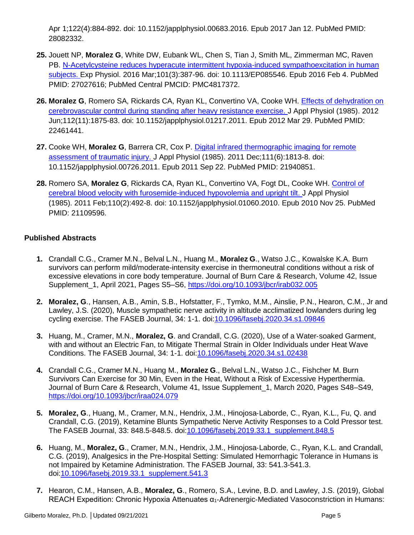Apr 1;122(4):884-892. doi: 10.1152/japplphysiol.00683.2016. Epub 2017 Jan 12. PubMed PMID: 28082332.

- **25.** Jouett NP, **Moralez G**, White DW, Eubank WL, Chen S, Tian J, Smith ML, Zimmerman MC, Raven PB. N-Acetylcysteine reduces hyperacute intermittent hypoxia-induced sympathoexcitation in human [subjects.](https://www.ncbi.nlm.nih.gov/pubmed/27027616/) Exp Physiol. 2016 Mar;101(3):387-96. doi: 10.1113/EP085546. Epub 2016 Feb 4. PubMed PMID: 27027616; PubMed Central PMCID: PMC4817372.
- **26. Moralez G**, Romero SA, Rickards CA, Ryan KL, Convertino VA, Cooke WH. [Effects of dehydration on](https://www.ncbi.nlm.nih.gov/pubmed/22461441/)  [cerebrovascular control during standing after heavy resistance exercise.](https://www.ncbi.nlm.nih.gov/pubmed/22461441/) J Appl Physiol (1985). 2012 Jun;112(11):1875-83. doi: 10.1152/japplphysiol.01217.2011. Epub 2012 Mar 29. PubMed PMID: 22461441.
- **27.** Cooke WH, **Moralez G**, Barrera CR, Cox P. [Digital infrared thermographic imaging for remote](https://www.ncbi.nlm.nih.gov/pubmed/21940851/)  [assessment of traumatic injury.](https://www.ncbi.nlm.nih.gov/pubmed/21940851/) J Appl Physiol (1985). 2011 Dec;111(6):1813-8. doi: 10.1152/japplphysiol.00726.2011. Epub 2011 Sep 22. PubMed PMID: 21940851.
- **28.** Romero SA, **Moralez G**, Rickards CA, Ryan KL, Convertino VA, Fogt DL, Cooke WH. [Control of](https://www.ncbi.nlm.nih.gov/pubmed/21109596/)  [cerebral blood velocity with furosemide-induced hypovolemia and upright tilt.](https://www.ncbi.nlm.nih.gov/pubmed/21109596/) J Appl Physiol (1985). 2011 Feb;110(2):492-8. doi: 10.1152/japplphysiol.01060.2010. Epub 2010 Nov 25. PubMed PMID: 21109596.

## **Published Abstracts**

- **1.** Crandall C.G., Cramer M.N., Belval L.N., Huang M., **Moralez G**., Watso J.C., Kowalske K.A. Burn survivors can perform mild/moderate-intensity exercise in thermoneutral conditions without a risk of excessive elevations in core body temperature. Journal of Burn Care & Research, Volume 42, Issue Supplement 1, April 2021, Pages S5–S6,<https://doi.org/10.1093/jbcr/irab032.005>
- **2. Moralez, G**., Hansen, A.B., Amin, S.B., Hofstatter, F., Tymko, M.M., Ainslie, P.N., Hearon, C.M., Jr and Lawley, J.S. (2020), Muscle sympathetic nerve activity in altitude acclimatized lowlanders during leg cycling exercise. The FASEB Journal, 34: 1-1. doi[:10.1096/fasebj.2020.34.s1.09846](https://doi.org/10.1096/fasebj.2020.34.s1.09846)
- **3.** Huang, M., Cramer, M.N., **Moralez, G**. and Crandall, C.G. (2020), Use of a Water‐soaked Garment, with and without an Electric Fan, to Mitigate Thermal Strain in Older Individuals under Heat Wave Conditions. The FASEB Journal, 34: 1-1. doi[:10.1096/fasebj.2020.34.s1.02438](https://doi.org/10.1096/fasebj.2020.34.s1.02438)
- **4.** Crandall C.G., Cramer M.N., Huang M., **Moralez G**., Belval L.N., Watso J.C., Fishcher M. Burn Survivors Can Exercise for 30 Min, Even in the Heat, Without a Risk of Excessive Hyperthermia. Journal of Burn Care & Research, Volume 41, Issue Supplement\_1, March 2020, Pages S48–S49, <https://doi.org/10.1093/jbcr/iraa024.079>
- **5. Moralez, G**., Huang, M., Cramer, M.N., Hendrix, J.M., Hinojosa‐Laborde, C., Ryan, K.L., Fu, Q. and Crandall, C.G. (2019), Ketamine Blunts Sympathetic Nerve Activity Responses to a Cold Pressor test. The FASEB Journal, 33: 848.5-848.5. doi[:10.1096/fasebj.2019.33.1\\_supplement.848.5](https://doi.org/10.1096/fasebj.2019.33.1_supplement.848.5)
- **6.** Huang, M., **Moralez, G**., Cramer, M.N., Hendrix, J.M., Hinojosa‐Laborde, C., Ryan, K.L. and Crandall, C.G. (2019), Analgesics in the Pre‐Hospital Setting: Simulated Hemorrhagic Tolerance in Humans is not Impaired by Ketamine Administration. The FASEB Journal, 33: 541.3-541.3. doi[:10.1096/fasebj.2019.33.1\\_supplement.541.3](https://doi.org/10.1096/fasebj.2019.33.1_supplement.541.3)
- **7.** Hearon, C.M., Hansen, A.B., **Moralez, G**., Romero, S.A., Levine, B.D. and Lawley, J.S. (2019), Global REACH Expedition: Chronic Hypoxia Attenuates  $\alpha_1$ -Adrenergic-Mediated Vasoconstriction in Humans: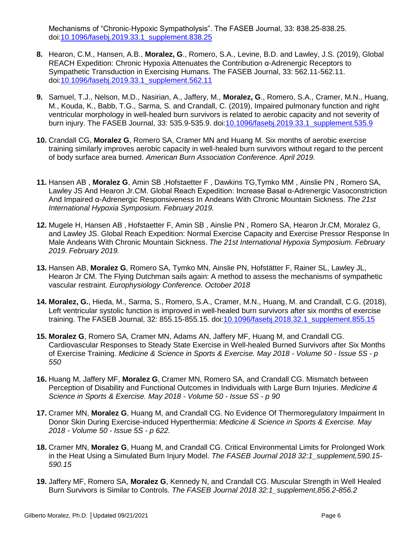Mechanisms of "Chronic‐Hypoxic Sympatholysis". The FASEB Journal, 33: 838.25-838.25. doi[:10.1096/fasebj.2019.33.1\\_supplement.838.25](https://doi.org/10.1096/fasebj.2019.33.1_supplement.838.25)

- **8.** Hearon, C.M., Hansen, A.B., **Moralez, G**., Romero, S.A., Levine, B.D. and Lawley, J.S. (2019), Global REACH Expedition: Chronic Hypoxia Attenuates the Contribution α‐Adrenergic Receptors to Sympathetic Transduction in Exercising Humans. The FASEB Journal, 33: 562.11-562.11. doi[:10.1096/fasebj.2019.33.1\\_supplement.562.11](https://doi.org/10.1096/fasebj.2019.33.1_supplement.562.11)
- **9.** Samuel, T.J., Nelson, M.D., Nasirian, A., Jaffery, M., **Moralez, G**., Romero, S.A., Cramer, M.N., Huang, M., Kouda, K., Babb, T.G., Sarma, S. and Crandall, C. (2019), Impaired pulmonary function and right ventricular morphology in well‐healed burn survivors is related to aerobic capacity and not severity of burn injury. The FASEB Journal, 33: 535.9-535.9. doi[:10.1096/fasebj.2019.33.1\\_supplement.535.9](https://doi.org/10.1096/fasebj.2019.33.1_supplement.535.9)
- **10.** Crandall CG, **Moralez G**, Romero SA, Cramer MN and Huang M. Six months of aerobic exercise training similarly improves aerobic capacity in well-healed burn survivors without regard to the percent of body surface area burned. *American Burn Association Conference. April 2019.*
- **11.** Hansen AB , **Moralez G**, Amin SB ,Hofstaetter F , Dawkins TG,Tymko MM , Ainslie PN , Romero SA, Lawley JS And Hearon Jr.CM. Global Reach Expedition: Increase Basal α-Adrenergic Vasoconstriction And Impaired α-Adrenergic Responsiveness In Andeans With Chronic Mountain Sickness. *The 21st International Hypoxia Symposium. February 2019.*
- **12.** Mugele H, Hansen AB , Hofstaetter F, Amin SB , Ainslie PN , Romero SA, Hearon Jr.CM, Moralez G, and Lawley JS. Global Reach Expedition: Normal Exercise Capacity and Exercise Pressor Response In Male Andeans With Chronic Mountain Sickness. *The 21st International Hypoxia Symposium. February 2019. February 2019.*
- **13.** Hansen AB, **Moralez G**, Romero SA, Tymko MN, Ainslie PN, Hofstätter F, Rainer SL, Lawley JL, Hearon Jr CM. The Flying Dutchman sails again: A method to assess the mechanisms of sympathetic vascular restraint. *Europhysiology Conference. October 2018*
- **14. Moralez, G.**, Hieda, M., Sarma, S., Romero, S.A., Cramer, M.N., Huang, M. and Crandall, C.G. (2018), Left ventricular systolic function is improved in well-healed burn survivors after six months of exercise training. The FASEB Journal, 32: 855.15-855.15. doi[:10.1096/fasebj.2018.32.1\\_supplement.855.15](https://doi.org/10.1096/fasebj.2018.32.1_supplement.855.15)
- **15. Moralez G**, Romero SA, Cramer MN, Adams AN, Jaffery MF, Huang M, and Crandall CG. Cardiovascular Responses to Steady State Exercise in Well-healed Burned Survivors after Six Months of Exercise Training. *Medicine & Science in Sports & Exercise. May 2018 - Volume 50 - Issue 5S - p 550*
- **16.** Huang M, Jaffery MF, **Moralez G**, Cramer MN, Romero SA, and Crandall CG. Mismatch between Perception of Disability and Functional Outcomes in Individuals with Large Burn Injuries. *Medicine & Science in Sports & Exercise. May 2018 - Volume 50 - Issue 5S - p 90*
- **17.** Cramer MN, **Moralez G**, Huang M, and Crandall CG. No Evidence Of Thermoregulatory Impairment In Donor Skin During Exercise-induced Hyperthermia: *Medicine & Science in Sports & Exercise. May 2018 - Volume 50 - Issue 5S - p 622.*
- **18.** Cramer MN, **Moralez G**, Huang M, and Crandall CG. Critical Environmental Limits for Prolonged Work in the Heat Using a Simulated Burn Injury Model. *The FASEB Journal 2018 32:1\_supplement,590.15- 590.15*
- **19.** Jaffery MF, Romero SA, **Moralez G**, Kennedy N, and Crandall CG. Muscular Strength in Well Healed Burn Survivors is Similar to Controls. *The FASEB Journal 2018 32:1\_supplement,856.2-856.2*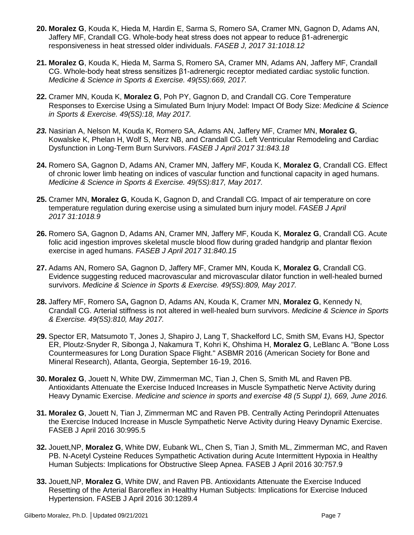- **20. Moralez G**, Kouda K, Hieda M, Hardin E, Sarma S, Romero SA, Cramer MN, Gagnon D, Adams AN, Jaffery MF, Crandall CG. Whole-body heat stress does not appear to reduce β1-adrenergic responsiveness in heat stressed older individuals. *FASEB J, 2017 31:1018.12*
- **21. Moralez G**, Kouda K, Hieda M, Sarma S, Romero SA, Cramer MN, Adams AN, Jaffery MF, Crandall CG. Whole-body heat stress sensitizes β1-adrenergic receptor mediated cardiac systolic function. *Medicine & Science in Sports & Exercise. 49(5S):669, 2017.*
- **22.** Cramer MN, Kouda K, **Moralez G**, Poh PY, Gagnon D, and Crandall CG. Core Temperature Responses to Exercise Using a Simulated Burn Injury Model: Impact Of Body Size: *Medicine & Science in Sports & Exercise. 49(5S):18, May 2017.*
- *23.* Nasirian A, Nelson M, Kouda K, Romero SA, Adams AN, Jaffery MF, Cramer MN, **Moralez G**, Kowalske K, Phelan H, Wolf S, Merz NB, and Crandall CG. Left Ventricular Remodeling and Cardiac Dysfunction in Long-Term Burn Survivors. *FASEB J April 2017 31:843.18*
- **24.** Romero SA, Gagnon D, Adams AN, Cramer MN, Jaffery MF, Kouda K, **Moralez G**, Crandall CG. Effect of chronic lower limb heating on indices of vascular function and functional capacity in aged humans. *Medicine & Science in Sports & Exercise. 49(5S):817, May 2017.*
- **25.** Cramer MN, **Moralez G**, Kouda K, Gagnon D, and Crandall CG. Impact of air temperature on core temperature regulation during exercise using a simulated burn injury model. *FASEB J April 2017 31:1018.9*
- **26.** Romero SA, Gagnon D, Adams AN, Cramer MN, Jaffery MF, Kouda K, **Moralez G**, Crandall CG. Acute folic acid ingestion improves skeletal muscle blood flow during graded handgrip and plantar flexion exercise in aged humans. *FASEB J April 2017 31:840.15*
- **27.** Adams AN, Romero SA, Gagnon D, Jaffery MF, Cramer MN, Kouda K, **Moralez G**, Crandall CG. Evidence suggesting reduced macrovascular and microvascular dilator function in well-healed burned survivors. *Medicine & Science in Sports & Exercise. 49(5S):809, May 2017.*
- **28.** Jaffery MF, Romero SA**,** Gagnon D, Adams AN, Kouda K, Cramer MN, **Moralez G**, Kennedy N, Crandall CG. Arterial stiffness is not altered in well-healed burn survivors. *Medicine & Science in Sports & Exercise. 49(5S):810, May 2017.*
- **29.** Spector ER, Matsumoto T, Jones J, Shapiro J, Lang T, Shackelford LC, Smith SM, Evans HJ, Spector ER, Ploutz-Snyder R, Sibonga J, Nakamura T, Kohri K, Ohshima H, **Moralez G**, LeBlanc A. "Bone Loss Countermeasures for Long Duration Space Flight." ASBMR 2016 (American Society for Bone and Mineral Research), Atlanta, Georgia, September 16-19, 2016.
- **30. Moralez G**, Jouett N, White DW, Zimmerman MC, Tian J, Chen S, Smith ML and Raven PB. Antioxidants Attenuate the Exercise Induced Increases in Muscle Sympathetic Nerve Activity during Heavy Dynamic Exercise. *Medicine and science in sports and exercise 48 (5 Suppl 1), 669, June 2016.*
- **31. Moralez G**, Jouett N, Tian J, Zimmerman MC and Raven PB. Centrally Acting Perindopril Attenuates the Exercise Induced Increase in Muscle Sympathetic Nerve Activity during Heavy Dynamic Exercise. FASEB J April 2016 30:995.5
- **32.** Jouett,NP, **Moralez G**, White DW, Eubank WL, Chen S, Tian J, Smith ML, Zimmerman MC, and Raven PB. N-Acetyl Cysteine Reduces Sympathetic Activation during Acute Intermittent Hypoxia in Healthy Human Subjects: Implications for Obstructive Sleep Apnea. FASEB J April 2016 30:757.9
- **33.** Jouett,NP, **Moralez G**, White DW, and Raven PB. Antioxidants Attenuate the Exercise Induced Resetting of the Arterial Baroreflex in Healthy Human Subjects: Implications for Exercise Induced Hypertension. FASEB J April 2016 30:1289.4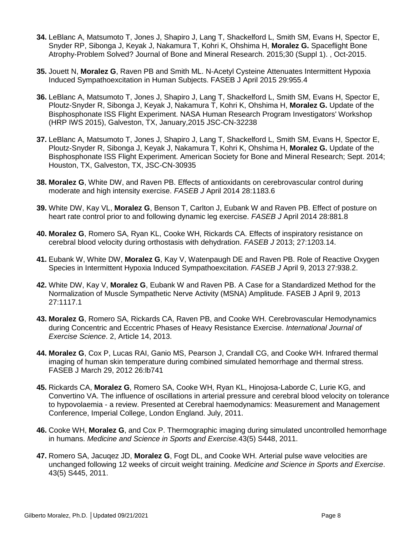- **34.** LeBlanc A, Matsumoto T, Jones J, Shapiro J, Lang T, Shackelford L, Smith SM, Evans H, Spector E, Snyder RP, Sibonga J, Keyak J, Nakamura T, Kohri K, Ohshima H, **Moralez G.** Spaceflight Bone Atrophy-Problem Solved? Journal of Bone and Mineral Research. 2015;30 (Suppl 1). , Oct-2015.
- **35.** Jouett N, **Moralez G**, Raven PB and Smith ML. N-Acetyl Cysteine Attenuates Intermittent Hypoxia Induced Sympathoexcitation in Human Subjects. FASEB J April 2015 29:955.4
- **36.** LeBlanc A, Matsumoto T, Jones J, Shapiro J, Lang T, Shackelford L, Smith SM, Evans H, Spector E, Ploutz-Snyder R, Sibonga J, Keyak J, Nakamura T, Kohri K, Ohshima H, **Moralez G.** Update of the Bisphosphonate ISS Flight Experiment. NASA Human Research Program Investigators' Workshop (HRP IWS 2015), Galveston, TX, January,2015 JSC-CN-32238
- **37.** LeBlanc A, Matsumoto T, Jones J, Shapiro J, Lang T, Shackelford L, Smith SM, Evans H, Spector E, Ploutz-Snyder R, Sibonga J, Keyak J, Nakamura T, Kohri K, Ohshima H, **Moralez G.** Update of the Bisphosphonate ISS Flight Experiment. American Society for Bone and Mineral Research; Sept. 2014; Houston, TX, Galveston, TX, JSC-CN-30935
- **38. Moralez G**, White DW, and Raven PB. Effects of antioxidants on cerebrovascular control during moderate and high intensity exercise. *FASEB J* April 2014 28:1183.6
- **39.** White DW, Kay VL, **Moralez G**, Benson T, Carlton J, Eubank W and Raven PB. Effect of posture on heart rate control prior to and following dynamic leg exercise. *FASEB J* April 2014 28:881.8
- **40. Moralez G**, Romero SA, Ryan KL, Cooke WH, Rickards CA. Effects of inspiratory resistance on cerebral blood velocity during orthostasis with dehydration. *FASEB J* 2013; 27:1203.14.
- **41.** Eubank W, White DW, **Moralez G**, Kay V, Watenpaugh DE and Raven PB. Role of Reactive Oxygen Species in Intermittent Hypoxia Induced Sympathoexcitation. *FASEB J* April 9, 2013 27:938.2.
- **42.** White DW, Kay V, **Moralez G**, Eubank W and Raven PB. A Case for a Standardized Method for the Normalization of Muscle Sympathetic Nerve Activity (MSNA) Amplitude. FASEB J April 9, 2013 27:1117.1
- **43. Moralez G**, Romero SA, Rickards CA, Raven PB, and Cooke WH. Cerebrovascular Hemodynamics during Concentric and Eccentric Phases of Heavy Resistance Exercise. *International Journal of Exercise Science*. 2, Article 14, 2013.
- **44. Moralez G**, Cox P, Lucas RAI, Ganio MS, Pearson J, Crandall CG, and Cooke WH. Infrared thermal imaging of human skin temperature during combined simulated hemorrhage and thermal stress. FASEB J March 29, 2012 26:lb741
- **45.** Rickards CA, **Moralez G**, Romero SA, Cooke WH, Ryan KL, Hinojosa-Laborde C, Lurie KG, and Convertino VA. The influence of oscillations in arterial pressure and cerebral blood velocity on tolerance to hypovolaemia - a review. Presented at Cerebral haemodynamics: Measurement and Management Conference, Imperial College, London England. July, 2011.
- **46.** Cooke WH, **Moralez G**, and Cox P. Thermographic imaging during simulated uncontrolled hemorrhage in humans. *Medicine and Science in Sports and Exercise.*43(5) S448, 2011.
- **47.** Romero SA, Jacuqez JD, **Moralez G**, Fogt DL, and Cooke WH. Arterial pulse wave velocities are unchanged following 12 weeks of circuit weight training. *Medicine and Science in Sports and Exercise*. 43(5) S445, 2011.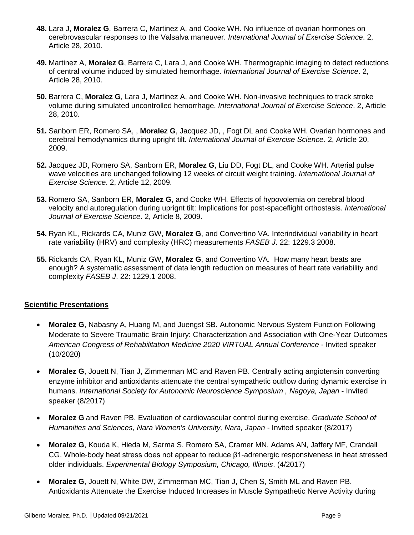- **48.** Lara J, **Moralez G**, Barrera C, Martinez A, and Cooke WH. No influence of ovarian hormones on cerebrovascular responses to the Valsalva maneuver. *International Journal of Exercise Science*. 2, Article 28, 2010.
- **49.** Martinez A, **Moralez G**, Barrera C, Lara J, and Cooke WH. Thermographic imaging to detect reductions of central volume induced by simulated hemorrhage. *International Journal of Exercise Science*. 2, Article 28, 2010.
- **50.** Barrera C, **Moralez G**, Lara J, Martinez A, and Cooke WH. Non-invasive techniques to track stroke volume during simulated uncontrolled hemorrhage. *International Journal of Exercise Science*. 2, Article 28, 2010.
- **51.** Sanborn ER, Romero SA, , **Moralez G**, Jacquez JD, , Fogt DL and Cooke WH. Ovarian hormones and cerebral hemodynamics during upright tilt. *International Journal of Exercise Science*. 2, Article 20, 2009.
- **52.** Jacquez JD, Romero SA, Sanborn ER, **Moralez G**, Liu DD, Fogt DL, and Cooke WH. Arterial pulse wave velocities are unchanged following 12 weeks of circuit weight training. *International Journal of Exercise Science*. 2, Article 12, 2009.
- **53.** Romero SA, Sanborn ER, **Moralez G**, and Cooke WH. Effects of hypovolemia on cerebral blood velocity and autoregulation during uprignt tilt: Implications for post-spaceflight orthostasis. *International Journal of Exercise Science*. 2, Article 8, 2009.
- **54.** Ryan KL, Rickards CA, Muniz GW, **Moralez G**, and Convertino VA. Interindividual variability in heart rate variability (HRV) and complexity (HRC) measurements *FASEB J*. 22: 1229.3 2008.
- **55.** Rickards CA, Ryan KL, Muniz GW, **Moralez G**, and Convertino VA. How many heart beats are enough? A systematic assessment of data length reduction on measures of heart rate variability and complexity *FASEB J*. 22: 1229.1 2008.

#### **Scientific Presentations**

- **Moralez G**, Nabasny A, Huang M, and Juengst SB. Autonomic Nervous System Function Following Moderate to Severe Traumatic Brain Injury: Characterization and Association with One-Year Outcomes *American Congress of Rehabilitation Medicine 2020 VIRTUAL Annual Conference* - Invited speaker (10/2020)
- **Moralez G**, Jouett N, Tian J, Zimmerman MC and Raven PB. Centrally acting angiotensin converting enzyme inhibitor and antioxidants attenuate the central sympathetic outflow during dynamic exercise in humans. *International Society for Autonomic Neuroscience Symposium , Nagoya, Japan* - Invited speaker (8/2017)
- **Moralez G** and Raven PB. Evaluation of cardiovascular control during exercise. *Graduate School of Humanities and Sciences, Nara Women's University, Nara, Japan* - Invited speaker (8/2017)
- **Moralez G**, Kouda K, Hieda M, Sarma S, Romero SA, Cramer MN, Adams AN, Jaffery MF, Crandall CG. Whole-body heat stress does not appear to reduce β1-adrenergic responsiveness in heat stressed older individuals. *Experimental Biology Symposium, Chicago, Illinois*. (4/2017)
- **Moralez G**, Jouett N, White DW, Zimmerman MC, Tian J, Chen S, Smith ML and Raven PB. Antioxidants Attenuate the Exercise Induced Increases in Muscle Sympathetic Nerve Activity during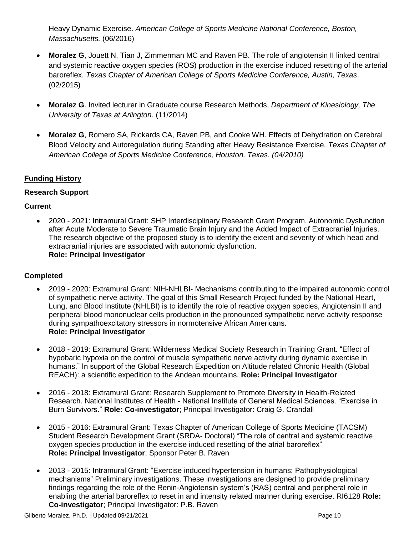Heavy Dynamic Exercise. *American College of Sports Medicine National Conference, Boston, Massachusetts.* (06/2016)

- **Moralez G**, Jouett N, Tian J, Zimmerman MC and Raven PB. The role of angiotensin II linked central and systemic reactive oxygen species (ROS) production in the exercise induced resetting of the arterial baroreflex. *Texas Chapter of American College of Sports Medicine Conference, Austin, Texas*. (02/2015)
- **Moralez G**. Invited lecturer in Graduate course Research Methods, *Department of Kinesiology, The University of Texas at Arlington.* (11/2014)
- **Moralez G**, Romero SA, Rickards CA, Raven PB, and Cooke WH. Effects of Dehydration on Cerebral Blood Velocity and Autoregulation during Standing after Heavy Resistance Exercise. *Texas Chapter of American College of Sports Medicine Conference, Houston, Texas. (04/2010)*

## **Funding History**

## **Research Support**

## **Current**

 2020 - 2021: Intramural Grant: SHP Interdisciplinary Research Grant Program. Autonomic Dysfunction after Acute Moderate to Severe Traumatic Brain Injury and the Added Impact of Extracranial Injuries. The research objective of the proposed study is to identify the extent and severity of which head and extracranial injuries are associated with autonomic dysfunction. **Role: Principal Investigator**

#### **Completed**

- 2019 2020: Extramural Grant: NIH-NHLBI- Mechanisms contributing to the impaired autonomic control of sympathetic nerve activity. The goal of this Small Research Project funded by the National Heart, Lung, and Blood Institute (NHLBI) is to identify the role of reactive oxygen species, Angiotensin II and peripheral blood mononuclear cells production in the pronounced sympathetic nerve activity response during sympathoexcitatory stressors in normotensive African Americans. **Role: Principal Investigator**
- 2018 2019: Extramural Grant: Wilderness Medical Society Research in Training Grant. "Effect of hypobaric hypoxia on the control of muscle sympathetic nerve activity during dynamic exercise in humans." In support of the Global Research Expedition on Altitude related Chronic Health (Global REACH): a scientific expedition to the Andean mountains. **Role: Principal Investigator**
- 2016 2018: Extramural Grant: Research Supplement to Promote Diversity in Health-Related Research. National Institutes of Health - National Institute of General Medical Sciences. "Exercise in Burn Survivors." **Role: Co-investigator**; Principal Investigator: Craig G. Crandall
- 2015 2016: Extramural Grant: Texas Chapter of American College of Sports Medicine (TACSM) Student Research Development Grant (SRDA- Doctoral) "The role of central and systemic reactive oxygen species production in the exercise induced resetting of the atrial baroreflex" **Role: Principal Investigator**; Sponsor Peter B. Raven
- 2013 2015: Intramural Grant: "Exercise induced hypertension in humans: Pathophysiological mechanisms" Preliminary investigations. These investigations are designed to provide preliminary findings regarding the role of the Renin-Angiotensin system's (RAS) central and peripheral role in enabling the arterial baroreflex to reset in and intensity related manner during exercise. RI6128 **Role: Co-investigator**; Principal Investigator: P.B. Raven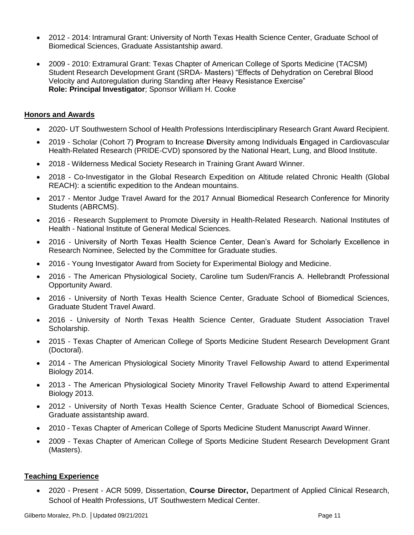- 2012 2014: Intramural Grant: University of North Texas Health Science Center, Graduate School of Biomedical Sciences, Graduate Assistantship award.
- 2009 2010: Extramural Grant: Texas Chapter of American College of Sports Medicine (TACSM) Student Research Development Grant (SRDA- Masters) "Effects of Dehydration on Cerebral Blood Velocity and Autoregulation during Standing after Heavy Resistance Exercise" **Role: Principal Investigator**; Sponsor William H. Cooke

#### **Honors and Awards**

- 2020- UT Southwestern School of Health Professions Interdisciplinary Research Grant Award Recipient.
- 2019 Scholar (Cohort 7) **Pr**ogram to **I**ncrease **D**iversity among Individuals **E**ngaged in Cardiovascular Health-Related Research (PRIDE-CVD) sponsored by the National Heart, Lung, and Blood Institute.
- 2018 Wilderness Medical Society Research in Training Grant Award Winner.
- 2018 Co-Investigator in the Global Research Expedition on Altitude related Chronic Health (Global REACH): a scientific expedition to the Andean mountains.
- 2017 Mentor Judge Travel Award for the 2017 Annual Biomedical Research Conference for Minority Students (ABRCMS).
- 2016 Research Supplement to Promote Diversity in Health-Related Research. National Institutes of Health - National Institute of General Medical Sciences.
- 2016 University of North Texas Health Science Center, Dean's Award for Scholarly Excellence in Research Nominee, Selected by the Committee for Graduate studies.
- 2016 Young Investigator Award from Society for Experimental Biology and Medicine.
- 2016 The American Physiological Society, Caroline tum Suden/Francis A. Hellebrandt Professional Opportunity Award.
- 2016 University of North Texas Health Science Center, Graduate School of Biomedical Sciences, Graduate Student Travel Award.
- 2016 University of North Texas Health Science Center, Graduate Student Association Travel Scholarship.
- 2015 Texas Chapter of American College of Sports Medicine Student Research Development Grant (Doctoral).
- 2014 The American Physiological Society Minority Travel Fellowship Award to attend Experimental Biology 2014.
- 2013 The American Physiological Society Minority Travel Fellowship Award to attend Experimental Biology 2013.
- 2012 University of North Texas Health Science Center, Graduate School of Biomedical Sciences, Graduate assistantship award.
- 2010 Texas Chapter of American College of Sports Medicine Student Manuscript Award Winner.
- 2009 Texas Chapter of American College of Sports Medicine Student Research Development Grant (Masters).

#### **Teaching Experience**

 2020 - Present - ACR 5099, Dissertation, **Course Director,** Department of Applied Clinical Research, School of Health Professions, UT Southwestern Medical Center.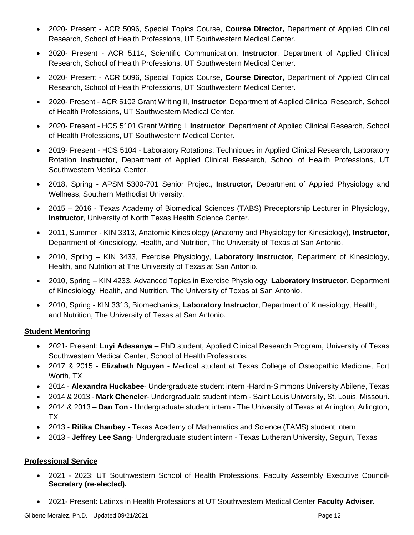- 2020- Present ACR 5096, Special Topics Course, **Course Director,** Department of Applied Clinical Research, School of Health Professions, UT Southwestern Medical Center.
- 2020- Present ACR 5114, Scientific Communication, **Instructor**, Department of Applied Clinical Research, School of Health Professions, UT Southwestern Medical Center.
- 2020- Present ACR 5096, Special Topics Course, **Course Director,** Department of Applied Clinical Research, School of Health Professions, UT Southwestern Medical Center.
- 2020- Present ACR 5102 Grant Writing II, **Instructor**, Department of Applied Clinical Research, School of Health Professions, UT Southwestern Medical Center.
- 2020- Present HCS 5101 Grant Writing I, **Instructor**, Department of Applied Clinical Research, School of Health Professions, UT Southwestern Medical Center.
- 2019- Present HCS 5104 Laboratory Rotations: Techniques in Applied Clinical Research, Laboratory Rotation **Instructor**, Department of Applied Clinical Research, School of Health Professions, UT Southwestern Medical Center.
- 2018, Spring APSM 5300-701 Senior Project, **Instructor,** Department of Applied Physiology and Wellness, Southern Methodist University.
- 2015 2016 Texas Academy of Biomedical Sciences (TABS) Preceptorship Lecturer in Physiology, **Instructor**, University of North Texas Health Science Center.
- 2011, Summer KIN 3313, Anatomic Kinesiology (Anatomy and Physiology for Kinesiology), **Instructor**, Department of Kinesiology, Health, and Nutrition, The University of Texas at San Antonio.
- 2010, Spring KIN 3433, Exercise Physiology, **Laboratory Instructor,** Department of Kinesiology, Health, and Nutrition at The University of Texas at San Antonio.
- 2010, Spring KIN 4233, Advanced Topics in Exercise Physiology, **Laboratory Instructor**, Department of Kinesiology, Health, and Nutrition, The University of Texas at San Antonio.
- 2010, Spring KIN 3313, Biomechanics, **Laboratory Instructor**, Department of Kinesiology, Health, and Nutrition, The University of Texas at San Antonio.

## **Student Mentoring**

- 2021- Present: **Luyi Adesanya** PhD student, Applied Clinical Research Program, University of Texas Southwestern Medical Center, School of Health Professions.
- 2017 & 2015 **Elizabeth Nguyen** Medical student at Texas College of Osteopathic Medicine, Fort Worth, TX
- 2014 **Alexandra Huckabee** Undergraduate student intern -Hardin-Simmons University Abilene, Texas
- 2014 & 2013 **Mark Cheneler** Undergraduate student intern Saint Louis University, St. Louis, Missouri.
- 2014 & 2013 **Dan Ton** Undergraduate student intern The University of Texas at Arlington, Arlington, TX
- 2013 **Ritika Chaubey** Texas Academy of Mathematics and Science (TAMS) student intern
- 2013 **Jeffrey Lee Sang** Undergraduate student intern Texas Lutheran University, Seguin, Texas

## **Professional Service**

- 2021 2023: UT Southwestern School of Health Professions, Faculty Assembly Executive Council-**Secretary (re-elected).**
- 2021- Present: Latinxs in Health Professions at UT Southwestern Medical Center **Faculty Adviser.**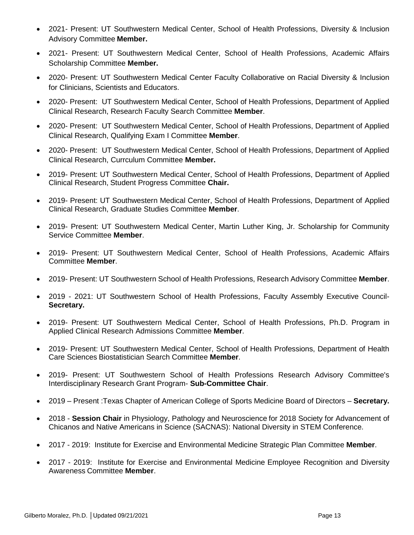- 2021- Present: UT Southwestern Medical Center, School of Health Professions, Diversity & Inclusion Advisory Committee **Member.**
- 2021- Present: UT Southwestern Medical Center, School of Health Professions, Academic Affairs Scholarship Committee **Member.**
- 2020- Present: UT Southwestern Medical Center Faculty Collaborative on Racial Diversity & Inclusion for Clinicians, Scientists and Educators.
- 2020- Present: UT Southwestern Medical Center, School of Health Professions, Department of Applied Clinical Research, Research Faculty Search Committee **Member**.
- 2020- Present: UT Southwestern Medical Center, School of Health Professions, Department of Applied Clinical Research, Qualifying Exam I Committee **Member**.
- 2020- Present: UT Southwestern Medical Center, School of Health Professions, Department of Applied Clinical Research, Currculum Committee **Member.**
- 2019- Present: UT Southwestern Medical Center, School of Health Professions, Department of Applied Clinical Research, Student Progress Committee **Chair.**
- 2019- Present: UT Southwestern Medical Center, School of Health Professions, Department of Applied Clinical Research, Graduate Studies Committee **Member**.
- 2019- Present: UT Southwestern Medical Center, Martin Luther King, Jr. Scholarship for Community Service Committee **Member**.
- 2019- Present: UT Southwestern Medical Center, School of Health Professions, Academic Affairs Committee **Member**.
- 2019- Present: UT Southwestern School of Health Professions, Research Advisory Committee **Member**.
- 2019 2021: UT Southwestern School of Health Professions, Faculty Assembly Executive Council-**Secretary.**
- 2019- Present: UT Southwestern Medical Center, School of Health Professions, Ph.D. Program in Applied Clinical Research Admissions Committee **Member**.
- 2019- Present: UT Southwestern Medical Center, School of Health Professions, Department of Health Care Sciences Biostatistician Search Committee **Member**.
- 2019- Present: UT Southwestern School of Health Professions Research Advisory Committee's Interdisciplinary Research Grant Program- **Sub-Committee Chair**.
- 2019 Present :Texas Chapter of American College of Sports Medicine Board of Directors **Secretary.**
- 2018 **Session Chair** in Physiology, Pathology and Neuroscience for 2018 Society for Advancement of Chicanos and Native Americans in Science (SACNAS): National Diversity in STEM Conference.
- 2017 2019: Institute for Exercise and Environmental Medicine Strategic Plan Committee **Member**.
- 2017 2019: Institute for Exercise and Environmental Medicine Employee Recognition and Diversity Awareness Committee **Member**.